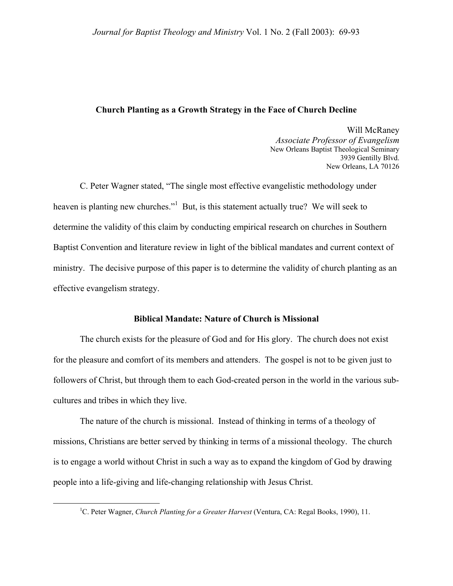## **Church Planting as a Growth Strategy in the Face of Church Decline**

Will McRaney *Associate Professor of Evangelism*  New Orleans Baptist Theological Seminary 3939 Gentilly Blvd. New Orleans, LA 70126

 C. Peter Wagner stated, "The single most effective evangelistic methodology under heaven is planting new churches."<sup>[1](#page-0-0)</sup> But, is this statement actually true? We will seek to determine the validity of this claim by conducting empirical research on churches in Southern Baptist Convention and literature review in light of the biblical mandates and current context of ministry. The decisive purpose of this paper is to determine the validity of church planting as an effective evangelism strategy.

#### **Biblical Mandate: Nature of Church is Missional**

The church exists for the pleasure of God and for His glory. The church does not exist for the pleasure and comfort of its members and attenders. The gospel is not to be given just to followers of Christ, but through them to each God-created person in the world in the various subcultures and tribes in which they live.

The nature of the church is missional. Instead of thinking in terms of a theology of missions, Christians are better served by thinking in terms of a missional theology. The church is to engage a world without Christ in such a way as to expand the kingdom of God by drawing people into a life-giving and life-changing relationship with Jesus Christ.

<span id="page-0-0"></span> $\frac{1}{1}$ <sup>1</sup>C. Peter Wagner, *Church Planting for a Greater Harvest* (Ventura, CA: Regal Books, 1990), 11.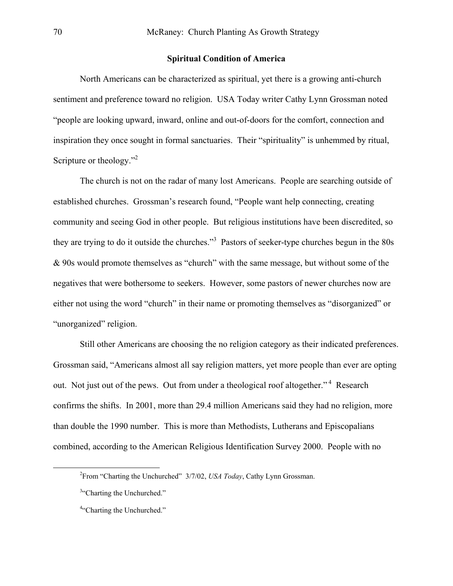### **Spiritual Condition of America**

North Americans can be characterized as spiritual, yet there is a growing anti-church sentiment and preference toward no religion. USA Today writer Cathy Lynn Grossman noted "people are looking upward, inward, online and out-of-doors for the comfort, connection and inspiration they once sought in formal sanctuaries. Their "spirituality" is unhemmed by ritual, Scripture or theology."<sup>[2](#page-1-0)</sup>

The church is not on the radar of many lost Americans. People are searching outside of established churches. Grossman's research found, "People want help connecting, creating community and seeing God in other people. But religious institutions have been discredited, so they are trying to do it outside the churches."<sup>[3](#page-1-1)</sup> Pastors of seeker-type churches begun in the 80s & 90s would promote themselves as "church" with the same message, but without some of the negatives that were bothersome to seekers. However, some pastors of newer churches now are either not using the word "church" in their name or promoting themselves as "disorganized" or "unorganized" religion.

Still other Americans are choosing the no religion category as their indicated preferences. Grossman said, "Americans almost all say religion matters, yet more people than ever are opting out. Not just out of the pews. Out from under a theological roof altogether."<sup>4</sup> Research confirms the shifts. In 2001, more than 29.4 million Americans said they had no religion, more than double the 1990 number. This is more than Methodists, Lutherans and Episcopalians combined, according to the American Religious Identification Survey 2000. People with no

 $\overline{\phantom{a}}$ From "Charting the Unchurched" 3/7/02, *USA Today*, Cathy Lynn Grossman.

<span id="page-1-1"></span><span id="page-1-0"></span><sup>&</sup>lt;sup>3"</sup>Charting the Unchurched."

<span id="page-1-2"></span><sup>&</sup>lt;sup>4"</sup>Charting the Unchurched."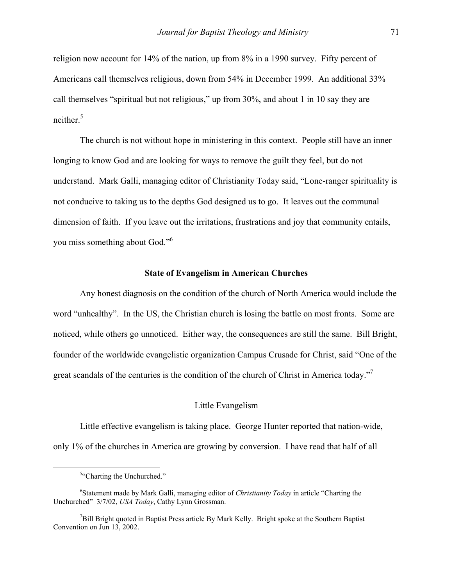religion now account for 14% of the nation, up from 8% in a 1990 survey. Fifty percent of Americans call themselves religious, down from 54% in December 1999. An additional 33% call themselves "spiritual but not religious," up from 30%, and about 1 in 10 say they are neither  $5$ 

The church is not without hope in ministering in this context. People still have an inner longing to know God and are looking for ways to remove the guilt they feel, but do not understand. Mark Galli, managing editor of Christianity Today said, "Lone-ranger spirituality is not conducive to taking us to the depths God designed us to go. It leaves out the communal dimension of faith. If you leave out the irritations, frustrations and joy that community entails, you miss something about God."[6](#page-2-1)

#### **State of Evangelism in American Churches**

Any honest diagnosis on the condition of the church of North America would include the word "unhealthy". In the US, the Christian church is losing the battle on most fronts. Some are noticed, while others go unnoticed. Either way, the consequences are still the same. Bill Bright, founder of the worldwide evangelistic organization Campus Crusade for Christ, said "One of the great scandals of the centuries is the condition of the church of Christ in America today."[7](#page-2-2)

#### Little Evangelism

Little effective evangelism is taking place. George Hunter reported that nation-wide, only 1% of the churches in America are growing by conversion. I have read that half of all

<span id="page-2-0"></span> $\frac{1}{5}$ <sup>5</sup>"Charting the Unchurched."

<span id="page-2-1"></span><sup>6</sup> Statement made by Mark Galli, managing editor of *Christianity Today* in article "Charting the Unchurched" 3/7/02, *USA Today*, Cathy Lynn Grossman.

<span id="page-2-2"></span><sup>&</sup>lt;sup>7</sup>Bill Bright quoted in Baptist Press article By Mark Kelly. Bright spoke at the Southern Baptist Convention on Jun 13, 2002.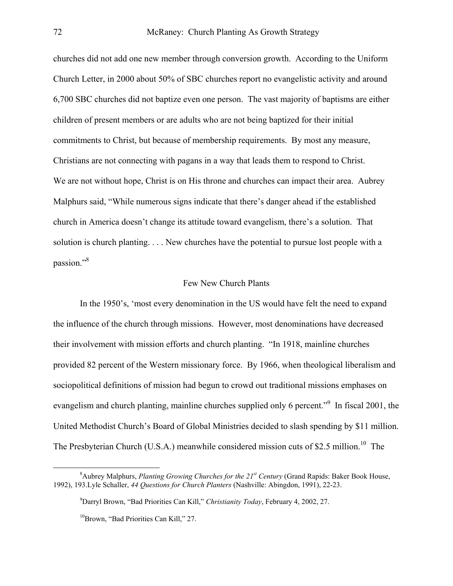churches did not add one new member through conversion growth. According to the Uniform Church Letter, in 2000 about 50% of SBC churches report no evangelistic activity and around 6,700 SBC churches did not baptize even one person. The vast majority of baptisms are either children of present members or are adults who are not being baptized for their initial commitments to Christ, but because of membership requirements. By most any measure, Christians are not connecting with pagans in a way that leads them to respond to Christ. We are not without hope, Christ is on His throne and churches can impact their area. Aubrey Malphurs said, "While numerous signs indicate that there's danger ahead if the established church in America doesn't change its attitude toward evangelism, there's a solution. That solution is church planting. . . . New churches have the potential to pursue lost people with a passion."<sup>[8](#page-3-0)</sup>

#### Few New Church Plants

In the 1950's, 'most every denomination in the US would have felt the need to expand the influence of the church through missions. However, most denominations have decreased their involvement with mission efforts and church planting. "In 1918, mainline churches provided 82 percent of the Western missionary force. By 1966, when theological liberalism and sociopolitical definitions of mission had begun to crowd out traditional missions emphases on evangelism and church planting, mainline churches supplied only 6 percent."<sup>[9](#page-3-1)</sup> In fiscal 2001, the United Methodist Church's Board of Global Ministries decided to slash spending by \$11 million. The Presbyterian Church (U.S.A.) meanwhile considered mission cuts of \$2.5 million.<sup>10</sup> The

 $\begin{array}{c|c}\n\hline\n\text{1} & \text{2} & \text{3} \\
\hline\n\text{2} & \text{3} & \text{4}\n\end{array}$ <sup>8</sup> Aubrey Malphurs, *Planting Growing Churches for the 21<sup>st</sup> Century* (Grand Rapids: Baker Book House, 1992), 193.Lyle Schaller, *44 Questions for Church Planters* (Nashville: Abingdon, 1991), 22-23.

<span id="page-3-1"></span><span id="page-3-0"></span><sup>9</sup> Darryl Brown, "Bad Priorities Can Kill," *Christianity Today*, February 4, 2002, 27.

<span id="page-3-2"></span><sup>&</sup>lt;sup>10</sup>Brown, "Bad Priorities Can Kill," 27.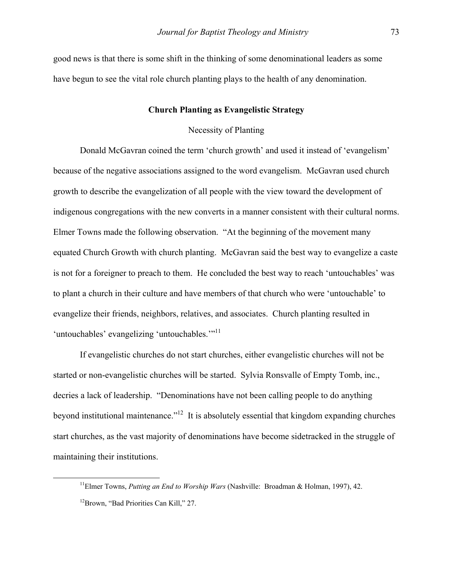good news is that there is some shift in the thinking of some denominational leaders as some have begun to see the vital role church planting plays to the health of any denomination.

## **Church Planting as Evangelistic Strategy**

# Necessity of Planting

Donald McGavran coined the term 'church growth' and used it instead of 'evangelism' because of the negative associations assigned to the word evangelism. McGavran used church growth to describe the evangelization of all people with the view toward the development of indigenous congregations with the new converts in a manner consistent with their cultural norms. Elmer Towns made the following observation. "At the beginning of the movement many equated Church Growth with church planting. McGavran said the best way to evangelize a caste is not for a foreigner to preach to them. He concluded the best way to reach 'untouchables' was to plant a church in their culture and have members of that church who were 'untouchable' to evangelize their friends, neighbors, relatives, and associates. Church planting resulted in 'untouchables' evangelizing 'untouchables."<sup>11</sup>

If evangelistic churches do not start churches, either evangelistic churches will not be started or non-evangelistic churches will be started. Sylvia Ronsvalle of Empty Tomb, inc., decries a lack of leadership. "Denominations have not been calling people to do anything beyond institutional maintenance."[12](#page-4-1) It is absolutely essential that kingdom expanding churches start churches, as the vast majority of denominations have become sidetracked in the struggle of maintaining their institutions.

<span id="page-4-1"></span><span id="page-4-0"></span> <sup>11</sup>Elmer Towns, *Putting an End to Worship Wars* (Nashville: Broadman & Holman, 1997), 42. <sup>12</sup>Brown, "Bad Priorities Can Kill," 27.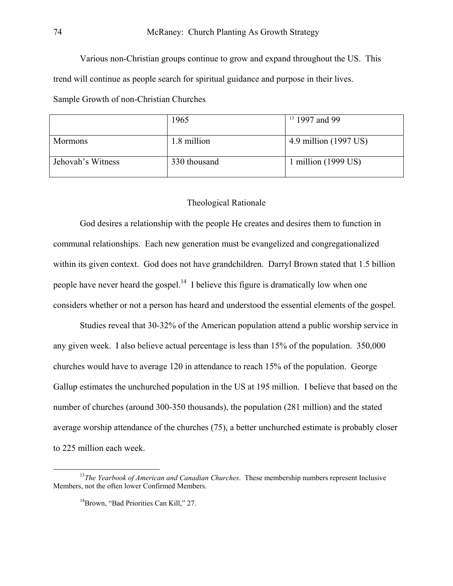Various non-Christian groups continue to grow and expand throughout the US. This trend will continue as people search for spiritual guidance and purpose in their lives.

Sample Growth of non-Christian Churches

|                   | 1965         | $13$ 1997 and 99              |
|-------------------|--------------|-------------------------------|
| <b>Mormons</b>    | 1.8 million  | 4.9 million (1997 US)         |
| Jehovah's Witness | 330 thousand | 1 million $(1999 \text{ US})$ |

### Theological Rationale

 God desires a relationship with the people He creates and desires them to function in communal relationships. Each new generation must be evangelized and congregationalized within its given context. God does not have grandchildren. Darryl Brown stated that 1.5 billion people have never heard the gospel. $14$  I believe this figure is dramatically low when one considers whether or not a person has heard and understood the essential elements of the gospel.

 Studies reveal that 30-32% of the American population attend a public worship service in any given week. I also believe actual percentage is less than 15% of the population. 350,000 churches would have to average 120 in attendance to reach 15% of the population. George Gallup estimates the unchurched population in the US at 195 million. I believe that based on the number of churches (around 300-350 thousands), the population (281 million) and the stated average worship attendance of the churches (75), a better unchurched estimate is probably closer to 225 million each week.

<sup>&</sup>lt;sup>13</sup>The Yearbook of American and Canadian Churches. These membership numbers represent Inclusive Members, not the often lower Confirmed Members.

<span id="page-5-1"></span><span id="page-5-0"></span><sup>&</sup>lt;sup>14</sup>Brown, "Bad Priorities Can Kill," 27.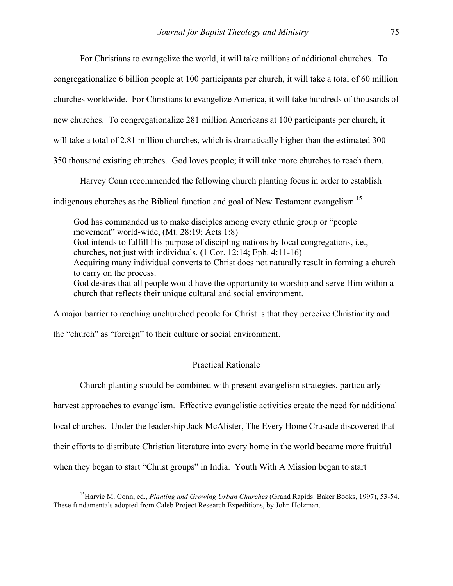For Christians to evangelize the world, it will take millions of additional churches. To

congregationalize 6 billion people at 100 participants per church, it will take a total of 60 million

churches worldwide. For Christians to evangelize America, it will take hundreds of thousands of

new churches. To congregationalize 281 million Americans at 100 participants per church, it

will take a total of 2.81 million churches, which is dramatically higher than the estimated 300-

350 thousand existing churches. God loves people; it will take more churches to reach them.

Harvey Conn recommended the following church planting focus in order to establish

indigenous churches as the Biblical function and goal of New Testament evangelism.<sup>[15](#page-6-0)</sup>

God has commanded us to make disciples among every ethnic group or "people movement" world-wide, (Mt. 28:19; Acts 1:8) God intends to fulfill His purpose of discipling nations by local congregations, i.e., churches, not just with individuals. (1 Cor. 12:14; Eph. 4:11-16) Acquiring many individual converts to Christ does not naturally result in forming a church to carry on the process. God desires that all people would have the opportunity to worship and serve Him within a church that reflects their unique cultural and social environment.

A major barrier to reaching unchurched people for Christ is that they perceive Christianity and

the "church" as "foreign" to their culture or social environment.

### Practical Rationale

Church planting should be combined with present evangelism strategies, particularly

harvest approaches to evangelism. Effective evangelistic activities create the need for additional

local churches. Under the leadership Jack McAlister, The Every Home Crusade discovered that

their efforts to distribute Christian literature into every home in the world became more fruitful

when they began to start "Christ groups" in India. Youth With A Mission began to start

<span id="page-6-0"></span> <sup>15</sup>Harvie M. Conn, ed., *Planting and Growing Urban Churches* (Grand Rapids: Baker Books, 1997), 53-54. These fundamentals adopted from Caleb Project Research Expeditions, by John Holzman.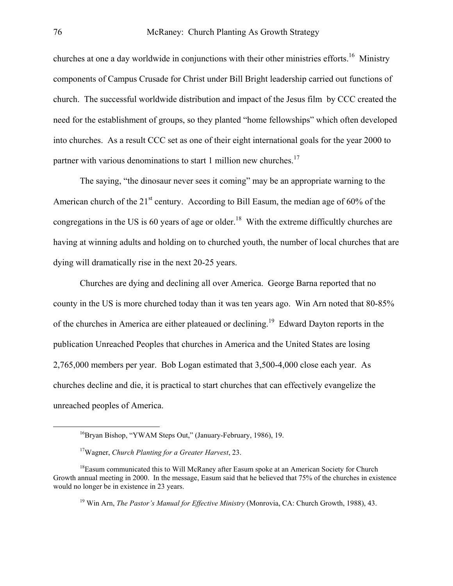churches at one a day worldwide in conjunctions with their other ministries efforts.<sup>16</sup> Ministry components of Campus Crusade for Christ under Bill Bright leadership carried out functions of church. The successful worldwide distribution and impact of the Jesus film by CCC created the need for the establishment of groups, so they planted "home fellowships" which often developed into churches. As a result CCC set as one of their eight international goals for the year 2000 to partner with various denominations to start 1 million new churches.<sup>[17](#page-7-1)</sup>

The saying, "the dinosaur never sees it coming" may be an appropriate warning to the American church of the  $21<sup>st</sup>$  century. According to Bill Easum, the median age of 60% of the congregations in the US is 60 years of age or older.<sup>18</sup> With the extreme difficultly churches are having at winning adults and holding on to churched youth, the number of local churches that are dying will dramatically rise in the next 20-25 years.

Churches are dying and declining all over America. George Barna reported that no county in the US is more churched today than it was ten years ago. Win Arn noted that 80-85% of the churches in America are either plateaued or declining.<sup>19</sup> Edward Dayton reports in the publication Unreached Peoples that churches in America and the United States are losing 2,765,000 members per year. Bob Logan estimated that 3,500-4,000 close each year. As churches decline and die, it is practical to start churches that can effectively evangelize the unreached peoples of America.

<span id="page-7-3"></span>19 Win Arn, *The Pastor's Manual for Effective Ministry* (Monrovia, CA: Church Growth, 1988), 43.

<span id="page-7-0"></span> <sup>16</sup>Bryan Bishop, "YWAM Steps Out," (January-February, 1986), 19.

<span id="page-7-2"></span><span id="page-7-1"></span><sup>17</sup>Wagner, *Church Planting for a Greater Harvest*, 23.

 $18$ Easum communicated this to Will McRaney after Easum spoke at an American Society for Church Growth annual meeting in 2000. In the message, Easum said that he believed that 75% of the churches in existence would no longer be in existence in 23 years.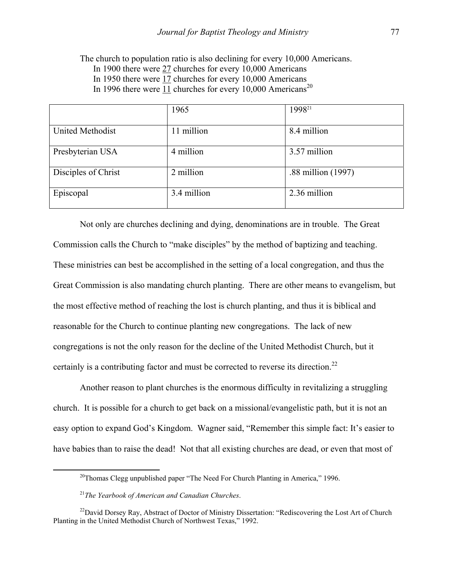The church to population ratio is also declining for every 10,000 Americans. In 1900 there were 27 churches for every 10,000 Americans In 1950 there were 17 churches for every 10,000 Americans In 1996 there were  $11$  churches for every 10,000 Americans<sup>[20](#page-8-0)</sup>

|                         | 1965        | 1998 <sup>21</sup> |
|-------------------------|-------------|--------------------|
| <b>United Methodist</b> | 11 million  | 8.4 million        |
| Presbyterian USA        | 4 million   | 3.57 million       |
| Disciples of Christ     | 2 million   | .88 million (1997) |
| Episcopal               | 3.4 million | 2.36 million       |

Not only are churches declining and dying, denominations are in trouble. The Great Commission calls the Church to "make disciples" by the method of baptizing and teaching. These ministries can best be accomplished in the setting of a local congregation, and thus the Great Commission is also mandating church planting. There are other means to evangelism, but the most effective method of reaching the lost is church planting, and thus it is biblical and reasonable for the Church to continue planting new congregations. The lack of new congregations is not the only reason for the decline of the United Methodist Church, but it certainly is a contributing factor and must be corrected to reverse its direction.<sup>[22](#page-8-2)</sup>

Another reason to plant churches is the enormous difficulty in revitalizing a struggling church. It is possible for a church to get back on a missional/evangelistic path, but it is not an easy option to expand God's Kingdom. Wagner said, "Remember this simple fact: It's easier to have babies than to raise the dead! Not that all existing churches are dead, or even that most of

<span id="page-8-0"></span> $20$ Thomas Clegg unpublished paper "The Need For Church Planting in America," 1996.

<span id="page-8-2"></span><span id="page-8-1"></span><sup>21</sup>*The Yearbook of American and Canadian Churches*.

<sup>&</sup>lt;sup>22</sup>David Dorsey Ray, Abstract of Doctor of Ministry Dissertation: "Rediscovering the Lost Art of Church Planting in the United Methodist Church of Northwest Texas," 1992.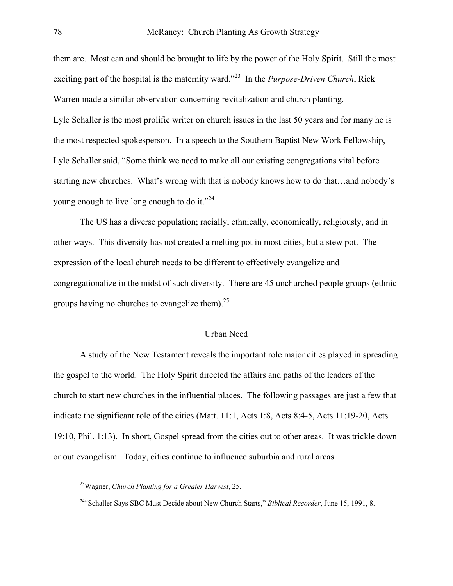them are. Most can and should be brought to life by the power of the Holy Spirit. Still the most exciting part of the hospital is the maternity ward."[23](#page-9-0) In the *Purpose-Driven Church*, Rick Warren made a similar observation concerning revitalization and church planting. Lyle Schaller is the most prolific writer on church issues in the last 50 years and for many he is the most respected spokesperson. In a speech to the Southern Baptist New Work Fellowship, Lyle Schaller said, "Some think we need to make all our existing congregations vital before starting new churches. What's wrong with that is nobody knows how to do that…and nobody's young enough to live long enough to do it."<sup>[24](#page-9-1)</sup>

The US has a diverse population; racially, ethnically, economically, religiously, and in other ways. This diversity has not created a melting pot in most cities, but a stew pot. The expression of the local church needs to be different to effectively evangelize and congregationalize in the midst of such diversity. There are 45 unchurched people groups (ethnic groups having no churches to evangelize them).<sup>[25](#page-9-2)</sup>

### Urban Need

A study of the New Testament reveals the important role major cities played in spreading the gospel to the world. The Holy Spirit directed the affairs and paths of the leaders of the church to start new churches in the influential places. The following passages are just a few that indicate the significant role of the cities (Matt. 11:1, Acts 1:8, Acts 8:4-5, Acts 11:19-20, Acts 19:10, Phil. 1:13). In short, Gospel spread from the cities out to other areas. It was trickle down or out evangelism. Today, cities continue to influence suburbia and rural areas.

<span id="page-9-2"></span><span id="page-9-0"></span> <sup>23</sup>Wagner, *Church Planting for a Greater Harvest*, 25.

<span id="page-9-1"></span><sup>24&</sup>quot;Schaller Says SBC Must Decide about New Church Starts," *Biblical Recorder*, June 15, 1991, 8.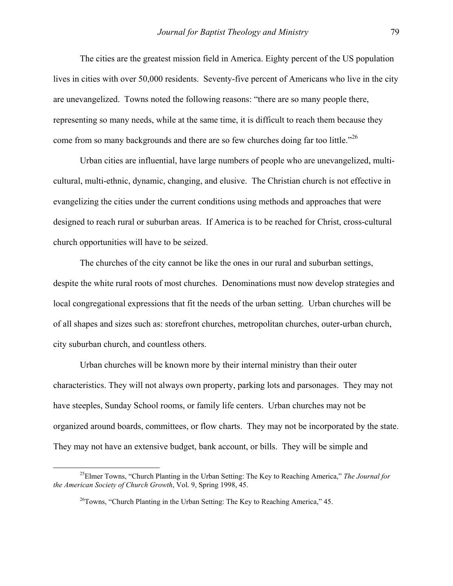The cities are the greatest mission field in America. Eighty percent of the US population lives in cities with over 50,000 residents. Seventy-five percent of Americans who live in the city are unevangelized. Towns noted the following reasons: "there are so many people there, representing so many needs, while at the same time, it is difficult to reach them because they come from so many backgrounds and there are so few churches doing far too little."<sup>[26](#page-10-0)</sup>

Urban cities are influential, have large numbers of people who are unevangelized, multicultural, multi-ethnic, dynamic, changing, and elusive. The Christian church is not effective in evangelizing the cities under the current conditions using methods and approaches that were designed to reach rural or suburban areas. If America is to be reached for Christ, cross-cultural church opportunities will have to be seized.

The churches of the city cannot be like the ones in our rural and suburban settings, despite the white rural roots of most churches. Denominations must now develop strategies and local congregational expressions that fit the needs of the urban setting. Urban churches will be of all shapes and sizes such as: storefront churches, metropolitan churches, outer-urban church, city suburban church, and countless others.

Urban churches will be known more by their internal ministry than their outer characteristics. They will not always own property, parking lots and parsonages. They may not have steeples, Sunday School rooms, or family life centers. Urban churches may not be organized around boards, committees, or flow charts. They may not be incorporated by the state. They may not have an extensive budget, bank account, or bills. They will be simple and

 <sup>25</sup>Elmer Towns, "Church Planting in the Urban Setting: The Key to Reaching America," *The Journal for the American Society of Church Growth*, Vol. 9, Spring 1998, 45.

<span id="page-10-0"></span> $^{26}$ Towns, "Church Planting in the Urban Setting: The Key to Reaching America," 45.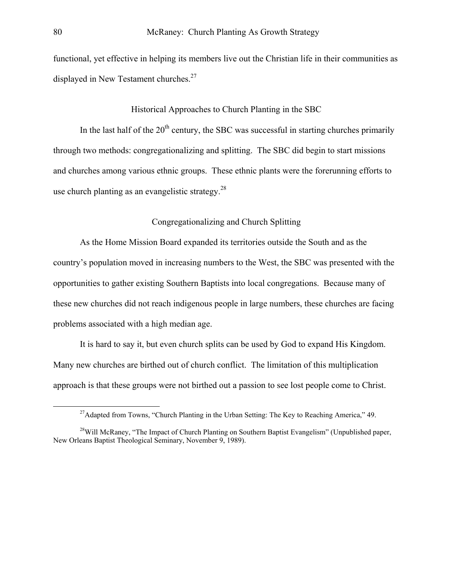functional, yet effective in helping its members live out the Christian life in their communities as displayed in New Testament churches.<sup>[27](#page-11-0)</sup>

## Historical Approaches to Church Planting in the SBC

In the last half of the  $20<sup>th</sup>$  century, the SBC was successful in starting churches primarily through two methods: congregationalizing and splitting. The SBC did begin to start missions and churches among various ethnic groups. These ethnic plants were the forerunning efforts to use church planting as an evangelistic strategy. $^{28}$  $^{28}$  $^{28}$ 

## Congregationalizing and Church Splitting

As the Home Mission Board expanded its territories outside the South and as the country's population moved in increasing numbers to the West, the SBC was presented with the opportunities to gather existing Southern Baptists into local congregations. Because many of these new churches did not reach indigenous people in large numbers, these churches are facing problems associated with a high median age.

It is hard to say it, but even church splits can be used by God to expand His Kingdom. Many new churches are birthed out of church conflict. The limitation of this multiplication approach is that these groups were not birthed out a passion to see lost people come to Christ.

<span id="page-11-1"></span><span id="page-11-0"></span><sup>&</sup>lt;sup>27</sup>Adapted from Towns, "Church Planting in the Urban Setting: The Key to Reaching America," 49.

<sup>&</sup>lt;sup>28</sup>Will McRaney, "The Impact of Church Planting on Southern Baptist Evangelism" (Unpublished paper, New Orleans Baptist Theological Seminary, November 9, 1989).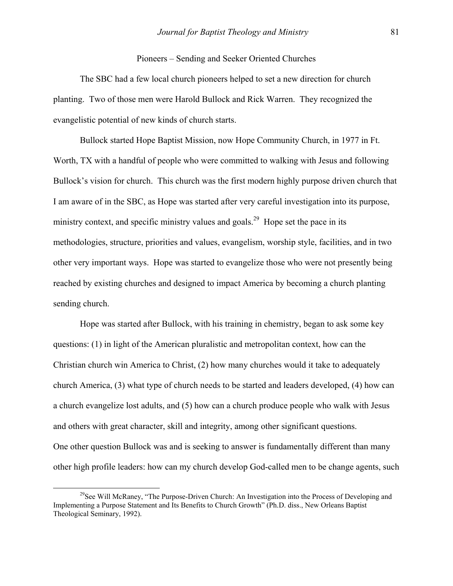### Pioneers – Sending and Seeker Oriented Churches

The SBC had a few local church pioneers helped to set a new direction for church planting. Two of those men were Harold Bullock and Rick Warren. They recognized the evangelistic potential of new kinds of church starts.

Bullock started Hope Baptist Mission, now Hope Community Church, in 1977 in Ft. Worth, TX with a handful of people who were committed to walking with Jesus and following Bullock's vision for church. This church was the first modern highly purpose driven church that I am aware of in the SBC, as Hope was started after very careful investigation into its purpose, ministry context, and specific ministry values and goals.<sup>29</sup> Hope set the pace in its methodologies, structure, priorities and values, evangelism, worship style, facilities, and in two other very important ways. Hope was started to evangelize those who were not presently being reached by existing churches and designed to impact America by becoming a church planting sending church.

Hope was started after Bullock, with his training in chemistry, began to ask some key questions: (1) in light of the American pluralistic and metropolitan context, how can the Christian church win America to Christ, (2) how many churches would it take to adequately church America, (3) what type of church needs to be started and leaders developed, (4) how can a church evangelize lost adults, and (5) how can a church produce people who walk with Jesus and others with great character, skill and integrity, among other significant questions. One other question Bullock was and is seeking to answer is fundamentally different than many other high profile leaders: how can my church develop God-called men to be change agents, such

<span id="page-12-0"></span><sup>&</sup>lt;sup>29</sup>See Will McRaney, "The Purpose-Driven Church: An Investigation into the Process of Developing and Implementing a Purpose Statement and Its Benefits to Church Growth" (Ph.D. diss., New Orleans Baptist Theological Seminary, 1992).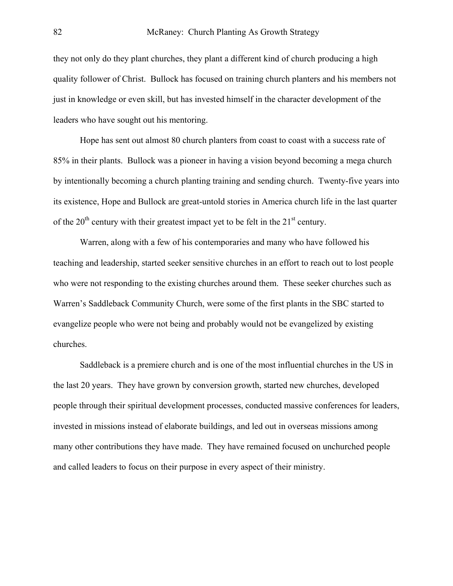they not only do they plant churches, they plant a different kind of church producing a high quality follower of Christ. Bullock has focused on training church planters and his members not just in knowledge or even skill, but has invested himself in the character development of the leaders who have sought out his mentoring.

Hope has sent out almost 80 church planters from coast to coast with a success rate of 85% in their plants. Bullock was a pioneer in having a vision beyond becoming a mega church by intentionally becoming a church planting training and sending church. Twenty-five years into its existence, Hope and Bullock are great-untold stories in America church life in the last quarter of the  $20<sup>th</sup>$  century with their greatest impact yet to be felt in the  $21<sup>st</sup>$  century.

Warren, along with a few of his contemporaries and many who have followed his teaching and leadership, started seeker sensitive churches in an effort to reach out to lost people who were not responding to the existing churches around them. These seeker churches such as Warren's Saddleback Community Church, were some of the first plants in the SBC started to evangelize people who were not being and probably would not be evangelized by existing churches.

Saddleback is a premiere church and is one of the most influential churches in the US in the last 20 years. They have grown by conversion growth, started new churches, developed people through their spiritual development processes, conducted massive conferences for leaders, invested in missions instead of elaborate buildings, and led out in overseas missions among many other contributions they have made. They have remained focused on unchurched people and called leaders to focus on their purpose in every aspect of their ministry.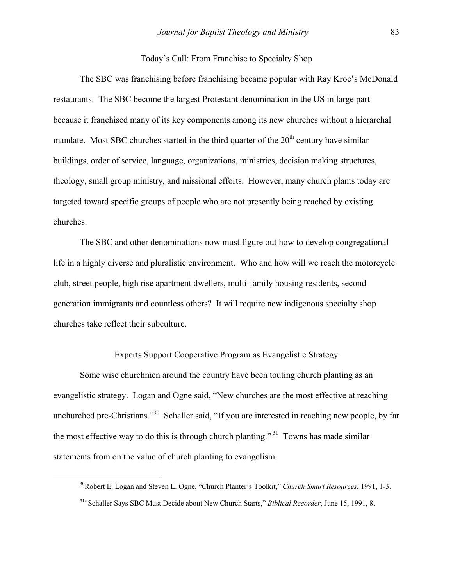### Today's Call: From Franchise to Specialty Shop

The SBC was franchising before franchising became popular with Ray Kroc's McDonald restaurants. The SBC become the largest Protestant denomination in the US in large part because it franchised many of its key components among its new churches without a hierarchal mandate. Most SBC churches started in the third quarter of the  $20<sup>th</sup>$  century have similar buildings, order of service, language, organizations, ministries, decision making structures, theology, small group ministry, and missional efforts. However, many church plants today are targeted toward specific groups of people who are not presently being reached by existing churches.

The SBC and other denominations now must figure out how to develop congregational life in a highly diverse and pluralistic environment. Who and how will we reach the motorcycle club, street people, high rise apartment dwellers, multi-family housing residents, second generation immigrants and countless others? It will require new indigenous specialty shop churches take reflect their subculture.

# Experts Support Cooperative Program as Evangelistic Strategy

Some wise churchmen around the country have been touting church planting as an evangelistic strategy. Logan and Ogne said, "New churches are the most effective at reaching unchurched pre-Christians."<sup>30</sup> Schaller said, "If you are interested in reaching new people, by far the most effective way to do this is through church planting."<sup>31</sup> Towns has made similar statements from on the value of church planting to evangelism.

<span id="page-14-0"></span> <sup>30</sup>Robert E. Logan and Steven L. Ogne, "Church Planter's Toolkit," *Church Smart Resources*, 1991, 1-3.

<span id="page-14-1"></span><sup>31&</sup>quot;Schaller Says SBC Must Decide about New Church Starts," *Biblical Recorder*, June 15, 1991, 8.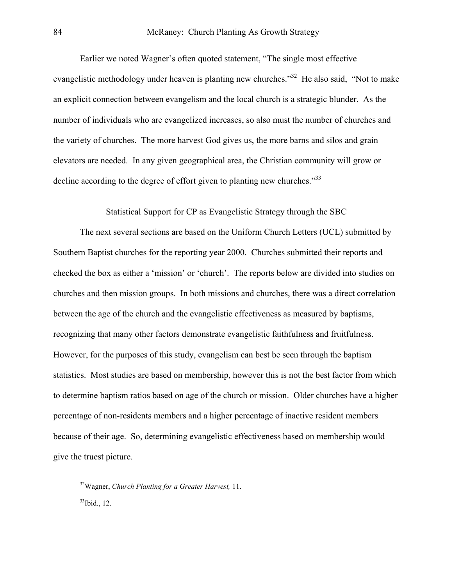Earlier we noted Wagner's often quoted statement, "The single most effective evangelistic methodology under heaven is planting new churches.<sup>32</sup> He also said, "Not to make an explicit connection between evangelism and the local church is a strategic blunder. As the number of individuals who are evangelized increases, so also must the number of churches and the variety of churches. The more harvest God gives us, the more barns and silos and grain elevators are needed. In any given geographical area, the Christian community will grow or decline according to the degree of effort given to planting new churches."<sup>[33](#page-15-1)</sup>

Statistical Support for CP as Evangelistic Strategy through the SBC

The next several sections are based on the Uniform Church Letters (UCL) submitted by Southern Baptist churches for the reporting year 2000. Churches submitted their reports and checked the box as either a 'mission' or 'church'. The reports below are divided into studies on churches and then mission groups. In both missions and churches, there was a direct correlation between the age of the church and the evangelistic effectiveness as measured by baptisms, recognizing that many other factors demonstrate evangelistic faithfulness and fruitfulness. However, for the purposes of this study, evangelism can best be seen through the baptism statistics. Most studies are based on membership, however this is not the best factor from which to determine baptism ratios based on age of the church or mission. Older churches have a higher percentage of non-residents members and a higher percentage of inactive resident members because of their age. So, determining evangelistic effectiveness based on membership would give the truest picture.

<span id="page-15-0"></span> <sup>32</sup>Wagner, *Church Planting for a Greater Harvest,* 11.

<span id="page-15-1"></span> $33$ Ibid., 12.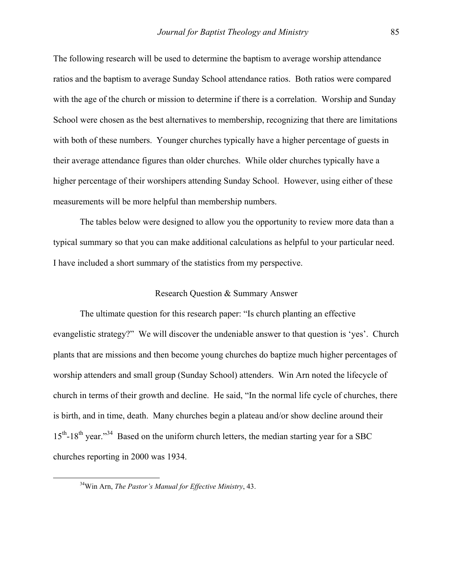The following research will be used to determine the baptism to average worship attendance ratios and the baptism to average Sunday School attendance ratios. Both ratios were compared with the age of the church or mission to determine if there is a correlation. Worship and Sunday School were chosen as the best alternatives to membership, recognizing that there are limitations with both of these numbers. Younger churches typically have a higher percentage of guests in their average attendance figures than older churches. While older churches typically have a higher percentage of their worshipers attending Sunday School. However, using either of these measurements will be more helpful than membership numbers.

The tables below were designed to allow you the opportunity to review more data than a typical summary so that you can make additional calculations as helpful to your particular need. I have included a short summary of the statistics from my perspective.

## Research Question & Summary Answer

The ultimate question for this research paper: "Is church planting an effective evangelistic strategy?" We will discover the undeniable answer to that question is 'yes'. Church plants that are missions and then become young churches do baptize much higher percentages of worship attenders and small group (Sunday School) attenders. Win Arn noted the lifecycle of church in terms of their growth and decline. He said, "In the normal life cycle of churches, there is birth, and in time, death. Many churches begin a plateau and/or show decline around their  $15<sup>th</sup>$ -18<sup>th</sup> year."<sup>34</sup> Based on the uniform church letters, the median starting year for a SBC churches reporting in 2000 was 1934.

<span id="page-16-0"></span> <sup>34</sup>Win Arn, *The Pastor's Manual for Effective Ministry*, 43.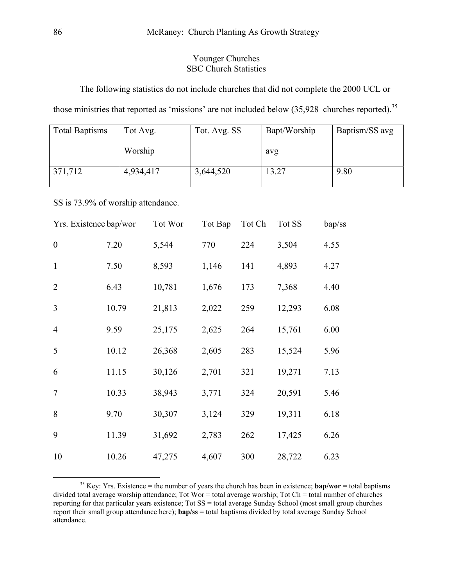## Younger Churches SBC Church Statistics

The following statistics do not include churches that did not complete the 2000 UCL or

those ministries that reported as 'missions' are not included below ([35](#page-17-0),928 churches reported).<sup>35</sup>

| <b>Total Baptisms</b> | Tot Avg.  | Tot. Avg. SS | Bapt/Worship | Baptism/SS avg |
|-----------------------|-----------|--------------|--------------|----------------|
|                       | Worship   |              | avg          |                |
| 371,712               | 4,934,417 | 3,644,520    | 13.27        | 9.80           |

SS is 73.9% of worship attendance.

| Yrs. Existence bap/wor |       | Tot Wor | Tot Bap | Tot Ch | Tot SS | bap/ss |
|------------------------|-------|---------|---------|--------|--------|--------|
| $\boldsymbol{0}$       | 7.20  | 5,544   | 770     | 224    | 3,504  | 4.55   |
| $\mathbf{1}$           | 7.50  | 8,593   | 1,146   | 141    | 4,893  | 4.27   |
| 2                      | 6.43  | 10,781  | 1,676   | 173    | 7,368  | 4.40   |
| $\overline{3}$         | 10.79 | 21,813  | 2,022   | 259    | 12,293 | 6.08   |
| $\overline{4}$         | 9.59  | 25,175  | 2,625   | 264    | 15,761 | 6.00   |
| 5                      | 10.12 | 26,368  | 2,605   | 283    | 15,524 | 5.96   |
| 6                      | 11.15 | 30,126  | 2,701   | 321    | 19,271 | 7.13   |
| $\overline{7}$         | 10.33 | 38,943  | 3,771   | 324    | 20,591 | 5.46   |
| 8                      | 9.70  | 30,307  | 3,124   | 329    | 19,311 | 6.18   |
| 9                      | 11.39 | 31,692  | 2,783   | 262    | 17,425 | 6.26   |
| 10                     | 10.26 | 47,275  | 4,607   | 300    | 28,722 | 6.23   |

<span id="page-17-0"></span><sup>&</sup>lt;sup>35</sup> Key: Yrs. Existence = the number of years the church has been in existence;  $bap/wor = total$  baptisms divided total average worship attendance; Tot Wor = total average worship; Tot Ch = total number of churches reporting for that particular years existence; Tot SS = total average Sunday School (most small group churches report their small group attendance here); **bap/ss** = total baptisms divided by total average Sunday School attendance.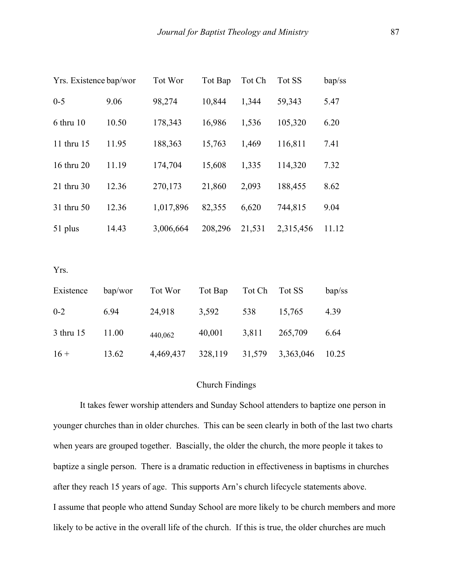| Yrs. Existence bap/wor |         | Tot Wor   | Tot Bap | Tot Ch | Tot SS    | bap/ss |
|------------------------|---------|-----------|---------|--------|-----------|--------|
| $0 - 5$                | 9.06    | 98,274    | 10,844  | 1,344  | 59,343    | 5.47   |
| 6 thru 10              | 10.50   | 178,343   | 16,986  | 1,536  | 105,320   | 6.20   |
| 11 thru 15             | 11.95   | 188,363   | 15,763  | 1,469  | 116,811   | 7.41   |
| 16 thru 20             | 11.19   | 174,704   | 15,608  | 1,335  | 114,320   | 7.32   |
| 21 thru 30             | 12.36   | 270,173   | 21,860  | 2,093  | 188,455   | 8.62   |
| 31 thru 50             | 12.36   | 1,017,896 | 82,355  | 6,620  | 744,815   | 9.04   |
| 51 plus                | 14.43   | 3,006,664 | 208,296 | 21,531 | 2,315,456 | 11.12  |
|                        |         |           |         |        |           |        |
| Yrs.                   |         |           |         |        |           |        |
| Existence              | bap/wor | Tot Wor   | Tot Bap | Tot Ch | Tot SS    | bap/ss |
| $0 - 2$                | 6.94    | 24,918    | 3,592   | 538    | 15,765    | 4.39   |
| 3 thru 15              | 11.00   | 440,062   | 40,001  | 3,811  | 265,709   | 6.64   |
| $16 +$                 | 13.62   | 4,469,437 | 328,119 | 31,579 | 3,363,046 | 10.25  |

## Church Findings

It takes fewer worship attenders and Sunday School attenders to baptize one person in younger churches than in older churches. This can be seen clearly in both of the last two charts when years are grouped together. Bascially, the older the church, the more people it takes to baptize a single person. There is a dramatic reduction in effectiveness in baptisms in churches after they reach 15 years of age. This supports Arn's church lifecycle statements above. I assume that people who attend Sunday School are more likely to be church members and more likely to be active in the overall life of the church. If this is true, the older churches are much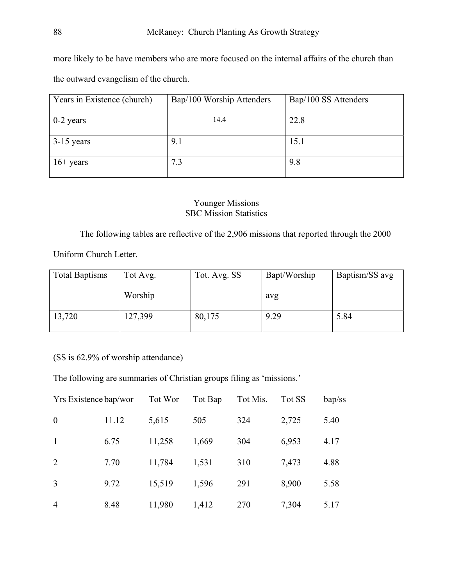more likely to be have members who are more focused on the internal affairs of the church than the outward evangelism of the church.

| Years in Existence (church) | Bap/100 Worship Attenders | Bap/100 SS Attenders |
|-----------------------------|---------------------------|----------------------|
| $0-2$ years                 | 14.4                      | 22.8                 |
| $3-15$ years                | 9.1                       | 15.1                 |
| $16+$ years                 | 7.3                       | 9.8                  |

# Younger Missions SBC Mission Statistics

The following tables are reflective of the 2,906 missions that reported through the 2000

Uniform Church Letter.

| <b>Total Baptisms</b> | Tot Avg. | Tot. Avg. SS | Bapt/Worship | Baptism/SS avg |
|-----------------------|----------|--------------|--------------|----------------|
|                       | Worship  |              | avg          |                |
| 13,720                | 127,399  | 80,175       | 9.29         | 5.84           |

(SS is 62.9% of worship attendance)

The following are summaries of Christian groups filing as 'missions.'

| Yrs Existence bap/wor |       | Tot Wor | Tot Bap | Tot Mis. | Tot SS | bap/ss |
|-----------------------|-------|---------|---------|----------|--------|--------|
| $\boldsymbol{0}$      | 11.12 | 5,615   | 505     | 324      | 2,725  | 5.40   |
| $\mathbf{1}$          | 6.75  | 11,258  | 1,669   | 304      | 6,953  | 4.17   |
| 2                     | 7.70  | 11,784  | 1,531   | 310      | 7,473  | 4.88   |
| 3                     | 9.72  | 15,519  | 1,596   | 291      | 8,900  | 5.58   |
| $\overline{4}$        | 8.48  | 11,980  | 1,412   | 270      | 7,304  | 5.17   |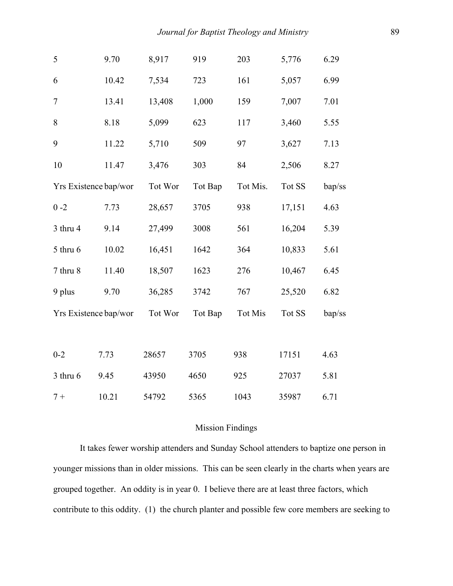| 5                     | 9.70  | 8,917   | 919     | 203      | 5,776  | 6.29   |
|-----------------------|-------|---------|---------|----------|--------|--------|
| 6                     | 10.42 | 7,534   | 723     | 161      | 5,057  | 6.99   |
| $\overline{7}$        | 13.41 | 13,408  | 1,000   | 159      | 7,007  | 7.01   |
| 8                     | 8.18  | 5,099   | 623     | 117      | 3,460  | 5.55   |
| 9                     | 11.22 | 5,710   | 509     | 97       | 3,627  | 7.13   |
| 10                    | 11.47 | 3,476   | 303     | 84       | 2,506  | 8.27   |
| Yrs Existence bap/wor |       | Tot Wor | Tot Bap | Tot Mis. | Tot SS | bap/ss |
| $0 - 2$               | 7.73  | 28,657  | 3705    | 938      | 17,151 | 4.63   |
| $3$ thru $4$          | 9.14  | 27,499  | 3008    | 561      | 16,204 | 5.39   |
| 5 thru 6              | 10.02 | 16,451  | 1642    | 364      | 10,833 | 5.61   |
| 7 thru 8              | 11.40 | 18,507  | 1623    | 276      | 10,467 | 6.45   |
| 9 plus                | 9.70  | 36,285  | 3742    | 767      | 25,520 | 6.82   |
| Yrs Existence bap/wor |       | Tot Wor | Tot Bap | Tot Mis  | Tot SS | bap/ss |
|                       |       |         |         |          |        |        |
| $0 - 2$               | 7.73  | 28657   | 3705    | 938      | 17151  | 4.63   |
| $3$ thru $6$          | 9.45  | 43950   | 4650    | 925      | 27037  | 5.81   |
| $7 +$                 | 10.21 | 54792   | 5365    | 1043     | 35987  | 6.71   |

## Mission Findings

It takes fewer worship attenders and Sunday School attenders to baptize one person in younger missions than in older missions. This can be seen clearly in the charts when years are grouped together. An oddity is in year 0. I believe there are at least three factors, which contribute to this oddity. (1) the church planter and possible few core members are seeking to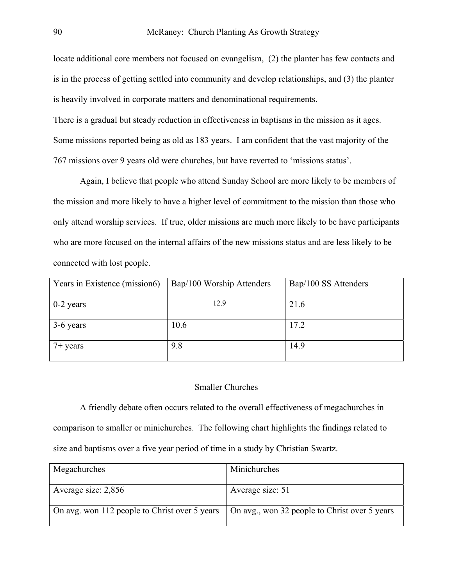locate additional core members not focused on evangelism, (2) the planter has few contacts and is in the process of getting settled into community and develop relationships, and (3) the planter is heavily involved in corporate matters and denominational requirements.

There is a gradual but steady reduction in effectiveness in baptisms in the mission as it ages. Some missions reported being as old as 183 years. I am confident that the vast majority of the 767 missions over 9 years old were churches, but have reverted to 'missions status'.

Again, I believe that people who attend Sunday School are more likely to be members of the mission and more likely to have a higher level of commitment to the mission than those who only attend worship services. If true, older missions are much more likely to be have participants who are more focused on the internal affairs of the new missions status and are less likely to be connected with lost people.

| Years in Existence (mission6) | Bap/100 Worship Attenders | Bap/100 SS Attenders |
|-------------------------------|---------------------------|----------------------|
| $0-2$ years                   | 12.9                      | 21.6                 |
| 3-6 years                     | 10.6                      | 17.2                 |
| $7+$ years                    | 9.8                       | 14.9                 |

# Smaller Churches

A friendly debate often occurs related to the overall effectiveness of megachurches in comparison to smaller or minichurches. The following chart highlights the findings related to size and baptisms over a five year period of time in a study by Christian Swartz.

| Megachurches                                  | Minichurches                                  |
|-----------------------------------------------|-----------------------------------------------|
| Average size: 2,856                           | Average size: 51                              |
| On avg. won 112 people to Christ over 5 years | On avg., won 32 people to Christ over 5 years |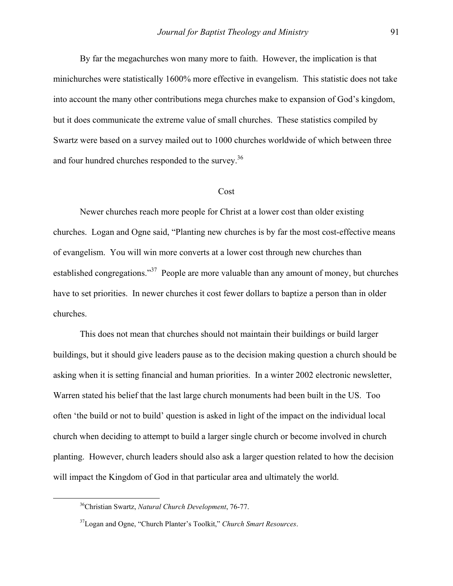By far the megachurches won many more to faith. However, the implication is that minichurches were statistically 1600% more effective in evangelism. This statistic does not take into account the many other contributions mega churches make to expansion of God's kingdom, but it does communicate the extreme value of small churches. These statistics compiled by Swartz were based on a survey mailed out to 1000 churches worldwide of which between three and four hundred churches responded to the survey.<sup>[36](#page-22-0)</sup>

#### Cost

Newer churches reach more people for Christ at a lower cost than older existing churches. Logan and Ogne said, "Planting new churches is by far the most cost-effective means of evangelism. You will win more converts at a lower cost through new churches than established congregations."[37](#page-22-1) People are more valuable than any amount of money, but churches have to set priorities. In newer churches it cost fewer dollars to baptize a person than in older churches.

This does not mean that churches should not maintain their buildings or build larger buildings, but it should give leaders pause as to the decision making question a church should be asking when it is setting financial and human priorities. In a winter 2002 electronic newsletter, Warren stated his belief that the last large church monuments had been built in the US. Too often 'the build or not to build' question is asked in light of the impact on the individual local church when deciding to attempt to build a larger single church or become involved in church planting. However, church leaders should also ask a larger question related to how the decision will impact the Kingdom of God in that particular area and ultimately the world.

<span id="page-22-0"></span> <sup>36</sup>Christian Swartz, *Natural Church Development*, 76-77.

<span id="page-22-1"></span><sup>37</sup>Logan and Ogne, "Church Planter's Toolkit," *Church Smart Resources*.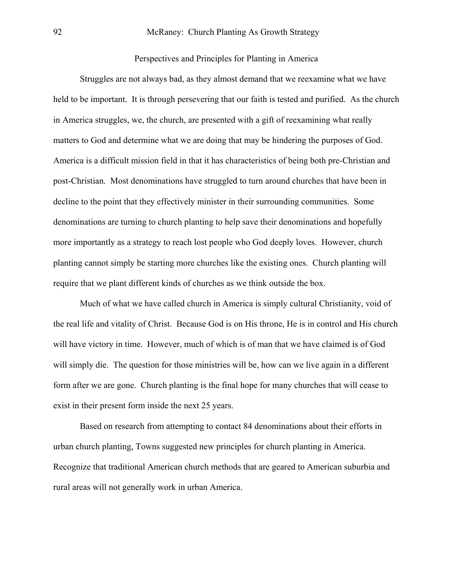Perspectives and Principles for Planting in America

Struggles are not always bad, as they almost demand that we reexamine what we have held to be important. It is through persevering that our faith is tested and purified. As the church in America struggles, we, the church, are presented with a gift of reexamining what really matters to God and determine what we are doing that may be hindering the purposes of God. America is a difficult mission field in that it has characteristics of being both pre-Christian and post-Christian. Most denominations have struggled to turn around churches that have been in decline to the point that they effectively minister in their surrounding communities. Some denominations are turning to church planting to help save their denominations and hopefully more importantly as a strategy to reach lost people who God deeply loves. However, church planting cannot simply be starting more churches like the existing ones. Church planting will require that we plant different kinds of churches as we think outside the box.

Much of what we have called church in America is simply cultural Christianity, void of the real life and vitality of Christ. Because God is on His throne, He is in control and His church will have victory in time. However, much of which is of man that we have claimed is of God will simply die. The question for those ministries will be, how can we live again in a different form after we are gone. Church planting is the final hope for many churches that will cease to exist in their present form inside the next 25 years.

Based on research from attempting to contact 84 denominations about their efforts in urban church planting, Towns suggested new principles for church planting in America. Recognize that traditional American church methods that are geared to American suburbia and rural areas will not generally work in urban America.